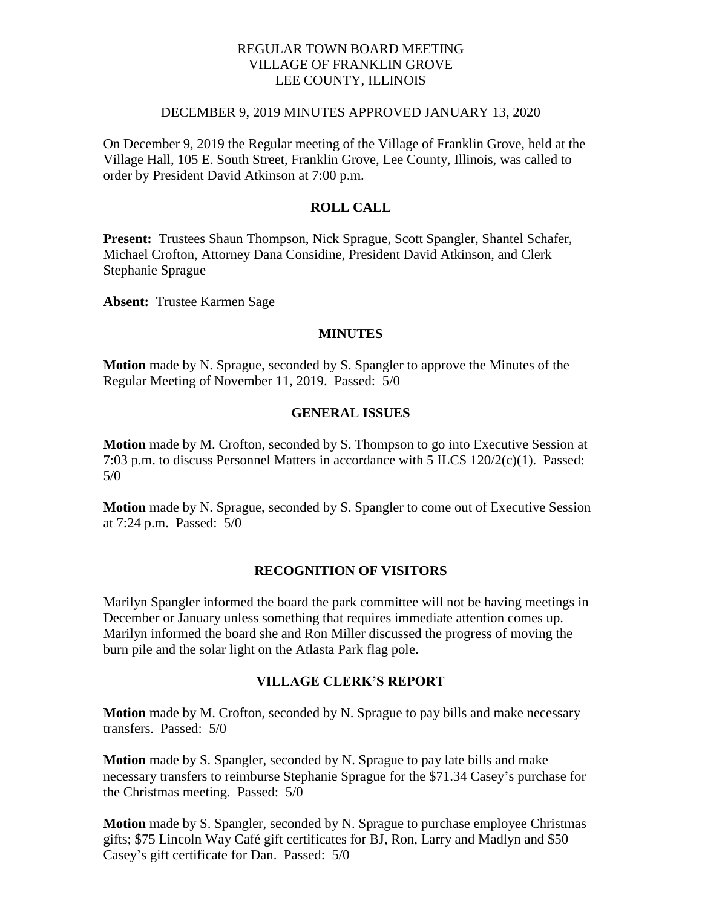### REGULAR TOWN BOARD MEETING VILLAGE OF FRANKLIN GROVE LEE COUNTY, ILLINOIS

#### DECEMBER 9, 2019 MINUTES APPROVED JANUARY 13, 2020

On December 9, 2019 the Regular meeting of the Village of Franklin Grove, held at the Village Hall, 105 E. South Street, Franklin Grove, Lee County, Illinois, was called to order by President David Atkinson at 7:00 p.m.

## **ROLL CALL**

**Present:** Trustees Shaun Thompson, Nick Sprague, Scott Spangler, Shantel Schafer, Michael Crofton, Attorney Dana Considine, President David Atkinson, and Clerk Stephanie Sprague

**Absent:** Trustee Karmen Sage

#### **MINUTES**

**Motion** made by N. Sprague, seconded by S. Spangler to approve the Minutes of the Regular Meeting of November 11, 2019. Passed: 5/0

### **GENERAL ISSUES**

**Motion** made by M. Crofton, seconded by S. Thompson to go into Executive Session at 7:03 p.m. to discuss Personnel Matters in accordance with 5 ILCS 120/2(c)(1). Passed:  $5/0$ 

**Motion** made by N. Sprague, seconded by S. Spangler to come out of Executive Session at 7:24 p.m. Passed: 5/0

### **RECOGNITION OF VISITORS**

Marilyn Spangler informed the board the park committee will not be having meetings in December or January unless something that requires immediate attention comes up. Marilyn informed the board she and Ron Miller discussed the progress of moving the burn pile and the solar light on the Atlasta Park flag pole.

## **VILLAGE CLERK'S REPORT**

**Motion** made by M. Crofton, seconded by N. Sprague to pay bills and make necessary transfers. Passed: 5/0

**Motion** made by S. Spangler, seconded by N. Sprague to pay late bills and make necessary transfers to reimburse Stephanie Sprague for the \$71.34 Casey's purchase for the Christmas meeting. Passed: 5/0

**Motion** made by S. Spangler, seconded by N. Sprague to purchase employee Christmas gifts; \$75 Lincoln Way Café gift certificates for BJ, Ron, Larry and Madlyn and \$50 Casey's gift certificate for Dan. Passed: 5/0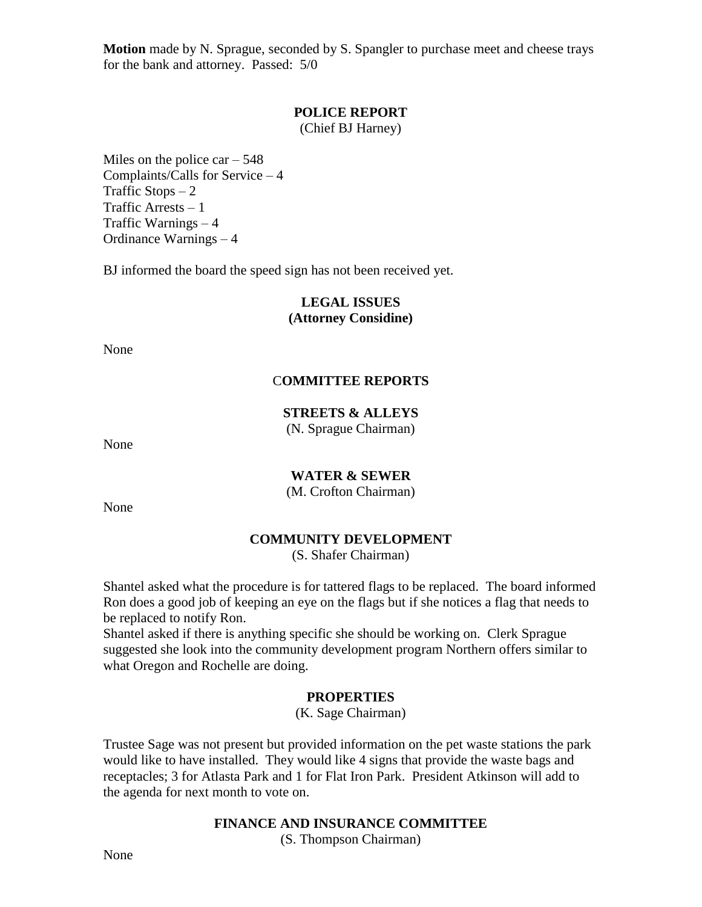**Motion** made by N. Sprague, seconded by S. Spangler to purchase meet and cheese trays for the bank and attorney. Passed: 5/0

### **POLICE REPORT**

(Chief BJ Harney)

Miles on the police  $car - 548$ Complaints/Calls for Service – 4 Traffic Stops  $-2$ Traffic Arrests – 1 Traffic Warnings – 4 Ordinance Warnings – 4

BJ informed the board the speed sign has not been received yet.

## **LEGAL ISSUES (Attorney Considine)**

None

# C**OMMITTEE REPORTS**

# **STREETS & ALLEYS**

(N. Sprague Chairman)

None

# **WATER & SEWER**

(M. Crofton Chairman)

None

# **COMMUNITY DEVELOPMENT**

(S. Shafer Chairman)

Shantel asked what the procedure is for tattered flags to be replaced. The board informed Ron does a good job of keeping an eye on the flags but if she notices a flag that needs to be replaced to notify Ron.

Shantel asked if there is anything specific she should be working on. Clerk Sprague suggested she look into the community development program Northern offers similar to what Oregon and Rochelle are doing.

# **PROPERTIES**

(K. Sage Chairman)

Trustee Sage was not present but provided information on the pet waste stations the park would like to have installed. They would like 4 signs that provide the waste bags and receptacles; 3 for Atlasta Park and 1 for Flat Iron Park. President Atkinson will add to the agenda for next month to vote on.

## **FINANCE AND INSURANCE COMMITTEE**

(S. Thompson Chairman)